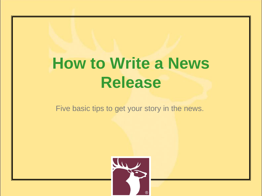### **How to Write a News Release**

Five basic tips to get your story in the news.

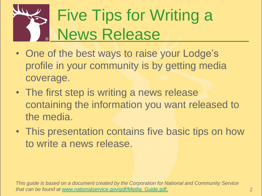# Five Tips for Writing a News Release

- One of the best ways to raise your Lodge's profile in your community is by getting media coverage.
- The first step is writing a news release containing the information you want released to the media.
- This presentation contains five basic tips on how to write a news release.

*This guide is based on a document created by the Corporation for National and Community Service that can be found at* [www.nationalservice.gov/pdf/Media\\_Guide.pdf.](http://www.nationalservice.gov/pdf/Media_Guide.pdf)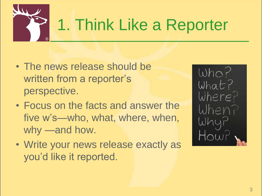

### 1. Think Like a Reporter

- The news release should be written from a reporter's perspective.
- Focus on the facts and answer the five w's—who, what, where, when, why —and how.
- Write your news release exactly as you'd like it reported.

 $Who?$ What? Where? When?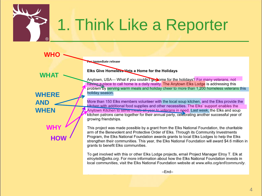

### 1. Think Like a Reporter

Fer immediate release

**WHAT**

**WHO**

**WHERE AND WHEN**

> **WHY HOW**

Elks Give Homeless Vets a Home for the Holidays

Anytown, USA— What if you couldn't gorrow for the holidays? For many veterans, not having a place to call home is a daily reality. The Anytown Elks Lodge is addressing this problem by serving warm meals and holiday cheer to more than 1,200 homeless veterans this holiday season.

More than 150 Elks members volunteer with the local soup kitchen, and the Elks provide the kitchen with additional food supplies and other necessities. The Elks' support enables the Anytown Kitchen to serve meals all year to veterans in need. Last week, the Elks and soup kitchen patrons came together for their annual party, celebrating another successful year of growing friendships.

This project was made possible by a grant from the Elks National Foundation, the charitable arm of the Benevolent and Protective Order of Elks. Through its Community Investments Program, the Elks National Foundation awards grants to local Elks Lodges to help the Elks strengthen their communities. This year, the Elks National Foundation will award \$4.6 million in grants to benefit Elks communities.

To get involved with this or other Elks Lodge projects, email Project Manager Elroy T. Elk at elroytelk@elks.org. For more information about how the Elks National Foundation invests in local communities, visit the Elks National Foundation website at www.elks.org/enf/community.

 $-End-$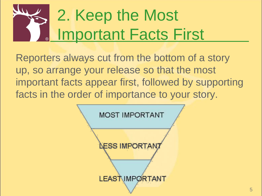# 2. Keep the Most Important Facts First

Reporters always cut from the bottom of a story up, so arrange your release so that the most important facts appear first, followed by supporting facts in the order of importance to your story.

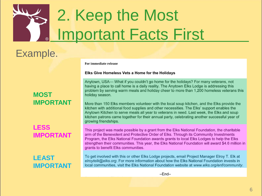# 2. Keep the Most Important Facts First

### Example.

For immediate release

#### Elks Give Homeless Vets a Home for the Holidays

Anytown, USA— What if you couldn't go home for the holidays? For many veterans, not having a place to call home is a daily reality. The Anytown Elks Lodge is addressing this problem by serving warm meals and holiday cheer to more than 1,200 homeless veterans this holiday season.

More than 150 Elks members volunteer with the local soup kitchen, and the Elks provide the kitchen with additional food supplies and other necessities. The Elks' support enables the Anytown Kitchen to serve meals all year to veterans in need. Last week, the Elks and soup kitchen patrons came together for their annual party, celebrating another successful year of growing friendships.

This project was made possible by a grant from the Elks National Foundation, the charitable arm of the Benevolent and Protective Order of Elks. Through its Community Investments Program, the Elks National Foundation awards grants to local Elks Lodges to help the Elks strengthen their communities. This year, the Elks National Foundation will award \$4.6 million in grants to benefit Elks communities.

To get involved with this or other Elks Lodge projects, email Project Manager Elroy T. Elk at elroytelk@elks.org. For more information about how the Elks National Foundation invests in local communities, visit the Elks National Foundation website at www.elks.org/enf/community.

 $-End-$ 

#### **MOST IMPORTANT**

#### **LESS IMPORTANT**

#### **LEAST IMPORTANT**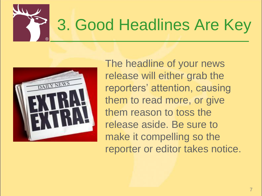



The headline of your news release will either grab the reporters' attention, causing them to read more, or give them reason to toss the release aside. Be sure to make it compelling so the reporter or editor takes notice.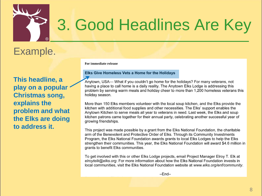

### 3. Good Headlines Are Key

### Example.

**This headline, a play on a popular Christmas song, explains the problem and what the Elks are doing to address it.**

For immediate release

#### Elks Give Homeless Vets a Home for the Holidays

Anytown, USA— What if you couldn't go home for the holidays? For many veterans, not having a place to call home is a daily reality. The Anytown Elks Lodge is addressing this problem by serving warm meals and holiday cheer to more than 1,200 homeless veterans this holiday season.

More than 150 Elks members volunteer with the local soup kitchen, and the Elks provide the kitchen with additional food supplies and other necessities. The Elks' support enables the Anytown Kitchen to serve meals all year to veterans in need. Last week, the Elks and soup kitchen patrons came together for their annual party, celebrating another successful year of growing friendships.

This project was made possible by a grant from the Elks National Foundation, the charitable arm of the Benevolent and Protective Order of Elks. Through its Community Investments Program, the Elks National Foundation awards grants to local Elks Lodges to help the Elks strengthen their communities. This year, the Elks National Foundation will award \$4.6 million in grants to benefit Elks communities.

To get involved with this or other Elks Lodge projects, email Project Manager Elroy T. Elk at elroytelk@elks.org. For more information about how the Elks National Foundation invests in local communities, visit the Elks National Foundation website at www.elks.org/enf/community.

 $-End-$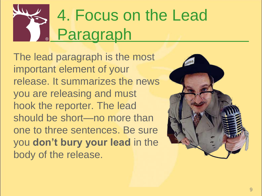# 4. Focus on the Lead Paragraph

The lead paragraph is the most important element of your release. It summarizes the news you are releasing and must hook the reporter. The lead should be short—no more than one to three sentences. Be sure you **don't bury your lead** in the body of the release.

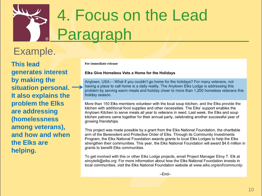# 4. Focus on the Lead Paragraph

### Example.

**This lead generates interest by making the situation personal. It also explains the problem the Elks are addressing (homelessness among veterans), and how and when the Elks are helping.**

For immediate release

#### Elks Give Homeless Vets a Home for the Holidays

Anytown, USA— What if you couldn't go home for the holidays? For many veterans, not having a place to call home is a daily reality. The Anytown Elks Lodge is addressing this problem by serving warm meals and holiday cheer to more than 1,200 homeless veterans this holiday season.

More than 150 Elks members volunteer with the local soup kitchen, and the Elks provide the kitchen with additional food supplies and other necessities. The Elks' support enables the Anytown Kitchen to serve meals all year to veterans in need. Last week, the Elks and soup kitchen patrons came together for their annual party, celebrating another successful year of growing friendships.

This project was made possible by a grant from the Elks National Foundation, the charitable arm of the Benevolent and Protective Order of Elks. Through its Community Investments Program, the Elks National Foundation awards grants to local Elks Lodges to help the Elks strengthen their communities. This year, the Elks National Foundation will award \$4.6 million in grants to benefit Elks communities.

To get involved with this or other Elks Lodge projects, email Project Manager Elroy T. Elk at elroytelk@elks.org. For more information about how the Elks National Foundation invests in local communities, visit the Elks National Foundation website at www.elks.org/enf/community.

 $-End-$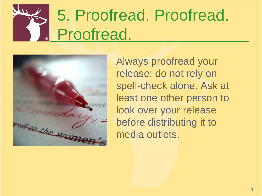# 5. Proofread. Proofread. Proofread.



Always proofread your release; do not rely on spell-check alone. Ask at least one other person to look over your release before distributing it to media outlets.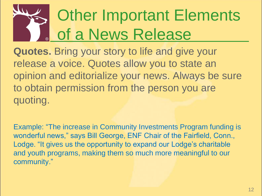# Other Important Elements of a News Release

**Quotes.** Bring your story to life and give your release a voice. Quotes allow you to state an opinion and editorialize your news. Always be sure to obtain permission from the person you are quoting.

Example: "The increase in Community Investments Program funding is wonderful news," says Bill George, ENF Chair of the Fairfield, Conn., Lodge. "It gives us the opportunity to expand our Lodge's charitable and youth programs, making them so much more meaningful to our community."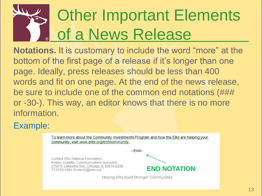# **Other Important Elements** of a News Release

**Notations.** It is customary to include the word "more" at the bottom of the first page of a release if it's longer than one page. Ideally, press releases should be less than 400 words and fit on one page. At the end of the news release, be sure to include one of the common end notations (### or -30-). This way, an editor knows that there is no more information.

#### Example:

To learn more about the Community Investments Program, and how the Elks are helping your. community, visit www.elks.org/enf/community.  $-End-$ Contact: Elks National Foundation Kristen Scaletta, Communications Specialist 2750 N. Lakeview Ave., Chicago, JL 60614-2256. **END NOTATION**773/755.4864, KristenS@elks.org **Helping Elks Build Stronger Communities**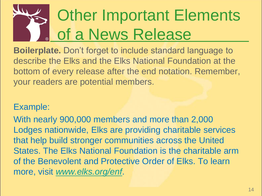# **Other Important Elements** of a News Release

**Boilerplate.** Don't forget to include standard language to describe the Elks and the Elks National Foundation at the bottom of every release after the end notation. Remember, your readers are potential members.

#### Example:

With nearly 900,000 members and more than 2,000 Lodges nationwide, Elks are providing charitable services that help build stronger communities across the United States. The Elks National Foundation is the charitable arm of the Benevolent and Protective Order of Elks. To learn more, visit *[www.elks.org/enf](http://www.elks.org/enf)*.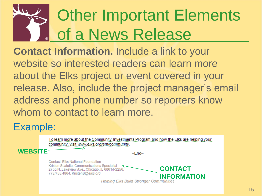# Other Important Elements of a News Release

**Contact Information.** Include a link to your website so interested readers can learn more about the Elks project or event covered in your release. Also, include the project manager's email address and phone number so reporters know whom to contact to learn more.

### Example:

To learn more about the Community Investments Program and how the Elks are helping your. community, visit www.elks.org/enf/community, **WEBSITE**  $-Fnd-$ **Contact: Elks National Foundation** Kristen Scaletta, Communications Specialist **CONTACT**  2750 N. Lakeview Ave., Chicago, IL 60614-2256 773/755.4864, KristenS@elks.org **Helping Elks Build Stronger Communities**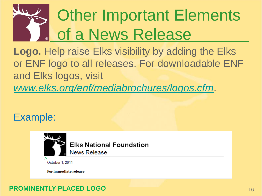# Other Important Elements **of a News Release**

**Logo.** Help raise Elks visibility by adding the Elks or ENF logo to all releases. For downloadable ENF and Elks logos, visit *[www.elks.org/enf/mediabrochures/logos.cfm](http://www.elks.org/enf/mediabrochures/logos.cfm)*.

### Example:



#### **PROMINENTLY PLACED LOGO**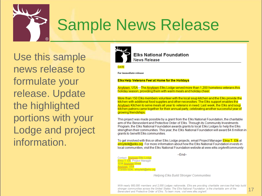

### Sample News Release

Use this sample news release to formulate your release. Update the highlighted portions with your Lodge and project information.



**Elks National Foundation News Release** 

#### **DATE**

For immediate release

#### **Elks Help Veterans Feel at Home for the Holidays**

Anytown, USA—The Anytown Elks Lodge served more than 1,200 homeless veterans this holiday season, providing them with warm meals and holiday cheer.

More than 150 Elks members volunteer with the local soup kitchen and the Elks provide the kitchen with additional food supplies and other necessities. The Elks support enables the Anytown Kitchen to serve meals all year to veterans in need. Last week, the Elks and soup kitchen patrons came together for their annual party, celebrating another successful year of growing friendships.

This project was made possible by a grant from the Elks National Foundation, the charitable arm of the Benevolent and Protective Order of Elks. Through its Community Investments Program, the Elks National Foundation awards grants to local Elks Lodges to help the Elks strengthen their communities. This year, the Elks National Foundation will award \$4.6 million in grants to benefit Elks communities.

To get involved with this or other Elks Lodge projects, email Project Manager Elroy T. Elk at elroytelk@elks.org. For more information about how the Elks National Foundation invests in local communities, visit the Elks National Foundation website at www.elks.org/enf/community.

 $-Fnd-$ 

Contact: Anytown Elks Lodge Elroy T. Elk, Project Manager 1234 Anytown Street **Anytown, USA** 555-1234, elroytelk@elks.org

**Helping Elks Build Stronger Communities** 

With nearly 900,000 members and 2,000 Lodges nationwide. Elks are providing charitable services that help build stronger communities across the United States. The Elks National Foundation is the charitable arm of the Benevolent and Protective Order of Elks. To learn more, visit www.elks.org/enf.